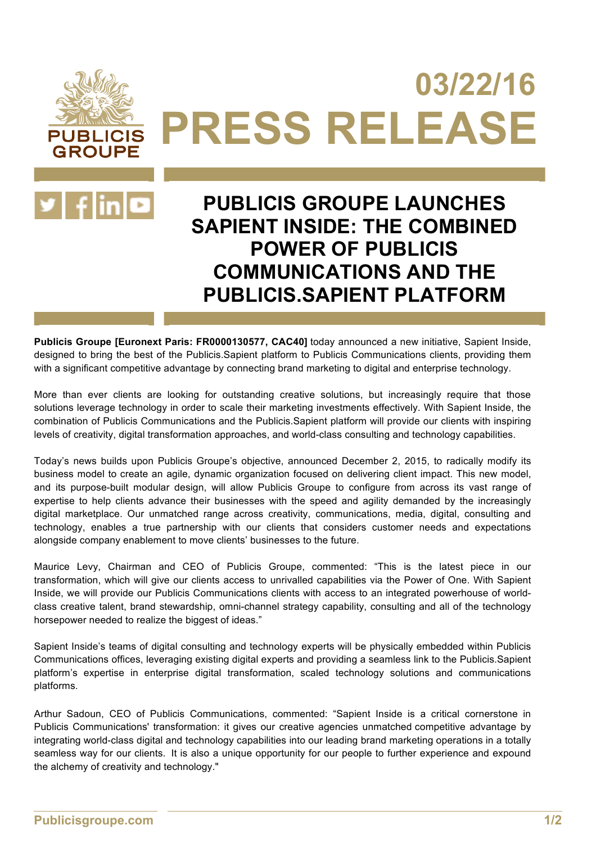# **03/22/16 PRESS RELEASE PUBLICIS**



**GROUPE** 

## **PUBLICIS GROUPE LAUNCHES SAPIENT INSIDE: THE COMBINED POWER OF PUBLICIS COMMUNICATIONS AND THE PUBLICIS.SAPIENT PLATFORM**

**Publicis Groupe [Euronext Paris: FR0000130577, CAC40]** today announced a new initiative, Sapient Inside, designed to bring the best of the Publicis.Sapient platform to Publicis Communications clients, providing them with a significant competitive advantage by connecting brand marketing to digital and enterprise technology.

More than ever clients are looking for outstanding creative solutions, but increasingly require that those solutions leverage technology in order to scale their marketing investments effectively. With Sapient Inside, the combination of Publicis Communications and the Publicis.Sapient platform will provide our clients with inspiring levels of creativity, digital transformation approaches, and world-class consulting and technology capabilities.

Today's news builds upon Publicis Groupe's objective, announced December 2, 2015, to radically modify its business model to create an agile, dynamic organization focused on delivering client impact. This new model, and its purpose-built modular design, will allow Publicis Groupe to configure from across its vast range of expertise to help clients advance their businesses with the speed and agility demanded by the increasingly digital marketplace. Our unmatched range across creativity, communications, media, digital, consulting and technology, enables a true partnership with our clients that considers customer needs and expectations alongside company enablement to move clients' businesses to the future.

Maurice Levy, Chairman and CEO of Publicis Groupe, commented: "This is the latest piece in our transformation, which will give our clients access to unrivalled capabilities via the Power of One. With Sapient Inside, we will provide our Publicis Communications clients with access to an integrated powerhouse of worldclass creative talent, brand stewardship, omni-channel strategy capability, consulting and all of the technology horsepower needed to realize the biggest of ideas."

Sapient Inside's teams of digital consulting and technology experts will be physically embedded within Publicis Communications offices, leveraging existing digital experts and providing a seamless link to the Publicis.Sapient platform's expertise in enterprise digital transformation, scaled technology solutions and communications platforms.

Arthur Sadoun, CEO of Publicis Communications, commented: "Sapient Inside is a critical cornerstone in Publicis Communications' transformation: it gives our creative agencies unmatched competitive advantage by integrating world-class digital and technology capabilities into our leading brand marketing operations in a totally seamless way for our clients. It is also a unique opportunity for our people to further experience and expound the alchemy of creativity and technology."